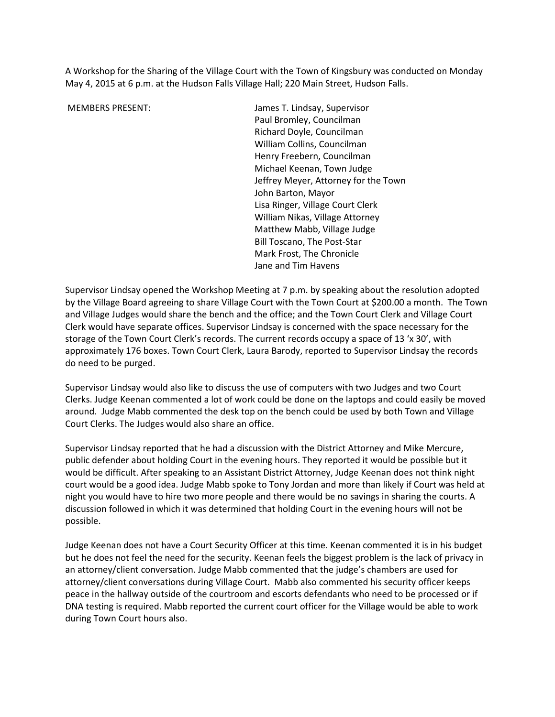A Workshop for the Sharing of the Village Court with the Town of Kingsbury was conducted on Monday May 4, 2015 at 6 p.m. at the Hudson Falls Village Hall; 220 Main Street, Hudson Falls.

 MEMBERS PRESENT: James T. Lindsay, Supervisor Paul Bromley, Councilman Richard Doyle, Councilman William Collins, Councilman Henry Freebern, Councilman Michael Keenan, Town Judge Jeffrey Meyer, Attorney for the Town John Barton, Mayor Lisa Ringer, Village Court Clerk William Nikas, Village Attorney Matthew Mabb, Village Judge Bill Toscano, The Post-Star Mark Frost, The Chronicle Jane and Tim Havens

Supervisor Lindsay opened the Workshop Meeting at 7 p.m. by speaking about the resolution adopted by the Village Board agreeing to share Village Court with the Town Court at \$200.00 a month. The Town and Village Judges would share the bench and the office; and the Town Court Clerk and Village Court Clerk would have separate offices. Supervisor Lindsay is concerned with the space necessary for the storage of the Town Court Clerk's records. The current records occupy a space of 13 'x 30', with approximately 176 boxes. Town Court Clerk, Laura Barody, reported to Supervisor Lindsay the records do need to be purged.

Supervisor Lindsay would also like to discuss the use of computers with two Judges and two Court Clerks. Judge Keenan commented a lot of work could be done on the laptops and could easily be moved around. Judge Mabb commented the desk top on the bench could be used by both Town and Village Court Clerks. The Judges would also share an office.

Supervisor Lindsay reported that he had a discussion with the District Attorney and Mike Mercure, public defender about holding Court in the evening hours. They reported it would be possible but it would be difficult. After speaking to an Assistant District Attorney, Judge Keenan does not think night court would be a good idea. Judge Mabb spoke to Tony Jordan and more than likely if Court was held at night you would have to hire two more people and there would be no savings in sharing the courts. A discussion followed in which it was determined that holding Court in the evening hours will not be possible.

Judge Keenan does not have a Court Security Officer at this time. Keenan commented it is in his budget but he does not feel the need for the security. Keenan feels the biggest problem is the lack of privacy in an attorney/client conversation. Judge Mabb commented that the judge's chambers are used for attorney/client conversations during Village Court. Mabb also commented his security officer keeps peace in the hallway outside of the courtroom and escorts defendants who need to be processed or if DNA testing is required. Mabb reported the current court officer for the Village would be able to work during Town Court hours also.